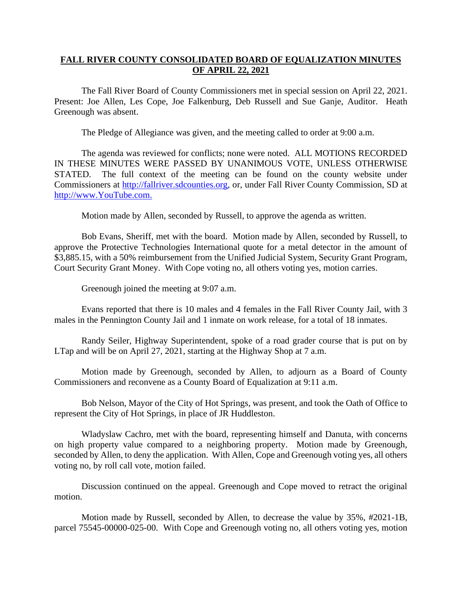## **FALL RIVER COUNTY CONSOLIDATED BOARD OF EQUALIZATION MINUTES OF APRIL 22, 2021**

The Fall River Board of County Commissioners met in special session on April 22, 2021. Present: Joe Allen, Les Cope, Joe Falkenburg, Deb Russell and Sue Ganje, Auditor. Heath Greenough was absent.

The Pledge of Allegiance was given, and the meeting called to order at 9:00 a.m.

The agenda was reviewed for conflicts; none were noted. ALL MOTIONS RECORDED IN THESE MINUTES WERE PASSED BY UNANIMOUS VOTE, UNLESS OTHERWISE STATED. The full context of the meeting can be found on the county website under Commissioners at [http://fallriver.sdcounties.org,](http://fallriver.sdcounties.org/) or, under Fall River County Commission, SD at [http://www.YouTube.com.](http://www.youtube.com/)

Motion made by Allen, seconded by Russell, to approve the agenda as written.

Bob Evans, Sheriff, met with the board. Motion made by Allen, seconded by Russell, to approve the Protective Technologies International quote for a metal detector in the amount of \$3,885.15, with a 50% reimbursement from the Unified Judicial System, Security Grant Program, Court Security Grant Money. With Cope voting no, all others voting yes, motion carries.

Greenough joined the meeting at 9:07 a.m.

Evans reported that there is 10 males and 4 females in the Fall River County Jail, with 3 males in the Pennington County Jail and 1 inmate on work release, for a total of 18 inmates.

Randy Seiler, Highway Superintendent, spoke of a road grader course that is put on by LTap and will be on April 27, 2021, starting at the Highway Shop at 7 a.m.

Motion made by Greenough, seconded by Allen, to adjourn as a Board of County Commissioners and reconvene as a County Board of Equalization at 9:11 a.m.

Bob Nelson, Mayor of the City of Hot Springs, was present, and took the Oath of Office to represent the City of Hot Springs, in place of JR Huddleston.

Wladyslaw Cachro, met with the board, representing himself and Danuta, with concerns on high property value compared to a neighboring property. Motion made by Greenough, seconded by Allen, to deny the application. With Allen, Cope and Greenough voting yes, all others voting no, by roll call vote, motion failed.

Discussion continued on the appeal. Greenough and Cope moved to retract the original motion.

Motion made by Russell, seconded by Allen, to decrease the value by 35%, #2021-1B, parcel 75545-00000-025-00. With Cope and Greenough voting no, all others voting yes, motion